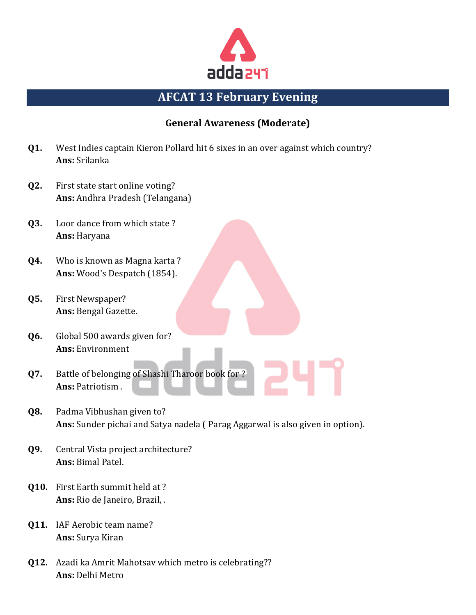

# **AFCAT 13 February Evening**

### **General Awareness (Moderate)**

- **Q1.** West Indies captain Kieron Pollard hit 6 sixes in an over against which country? **Ans:** Srilanka
- **Q2.** First state start online voting? **Ans:** Andhra Pradesh (Telangana)
- **Q3.** Loor dance from which state ? **Ans:** Haryana
- **Q4.** Who is known as Magna karta ? **Ans:** Wood's Despatch (1854).
- **Q5.** First Newspaper? **Ans:** Bengal Gazette.
- **Q6.** Global 500 awards given for? **Ans:** Environment
- **Q7.** Battle of belonging of Shashi Tharoor book for ? **Ans:** Patriotism .
- **Q8.** Padma Vibhushan given to? **Ans:** Sunder pichai and Satya nadela ( Parag Aggarwal is also given in option).
- **Q9.** Central Vista project architecture? **Ans:** Bimal Patel.
- **Q10.** First Earth summit held at ? **Ans:** Rio de Janeiro, Brazil, .
- **Q11.** IAF Aerobic team name? **Ans:** Surya Kiran
- **Q12.** Azadi ka Amrit Mahotsav which metro is celebrating?? **Ans:** Delhi Metro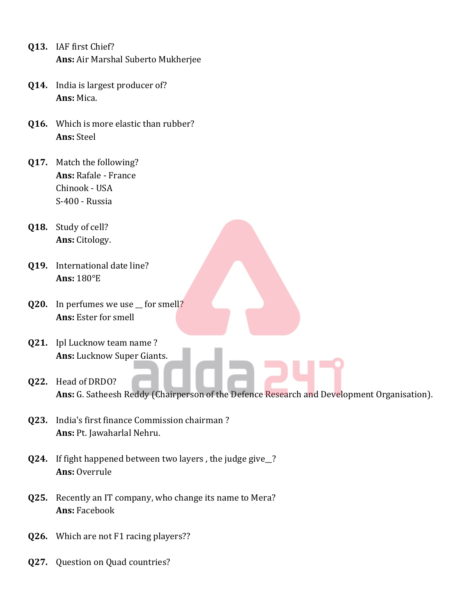- **Q13.** IAF first Chief? **Ans:** Air Marshal Suberto Mukherjee
- **Q14.** India is largest producer of? **Ans:** Mica.
- **Q16.** Which is more elastic than rubber? **Ans:** Steel
- **Q17.** Match the following? **Ans:** Rafale - France Chinook - USA S-400 - Russia
- **Q18.** Study of cell? **Ans:** Citology.
- **Q19.** International date line? **Ans:** 180°E
- **Q20.** In perfumes we use \_ for smell? **Ans:** Ester for smell
- **Q21.** Ipl Lucknow team name ? **Ans:** Lucknow Super Giants.
- **Q22.** Head of DRDO? **Ans:** G. Satheesh Reddy (Chairperson of the Defence Research and Development Organisation).
- **Q23.** India's first finance Commission chairman ? **Ans:** Pt. Jawaharlal Nehru.
- **Q24.** If fight happened between two layers , the judge give\_\_? **Ans:** Overrule
- **Q25.** Recently an IT company, who change its name to Mera? **Ans:** Facebook
- **Q26.** Which are not F1 racing players??
- **Q27.** Question on Quad countries?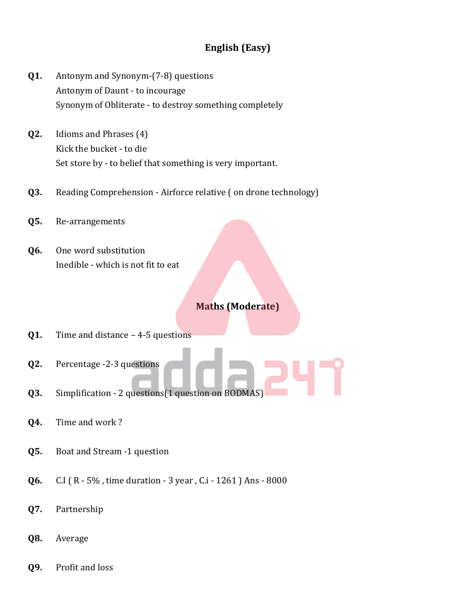## **English (Easy)**

- **Q1.** Antonym and Synonym-(7-8) questions Antonym of Daunt - to incourage Synonym of Obliterate - to destroy something completely
- **Q2.** Idioms and Phrases (4) Kick the bucket - to die Set store by - to belief that something is very important.
- **Q3.** Reading Comprehension Airforce relative ( on drone technology)
- **Q5.** Re-arrangements
- **Q6.** One word substitution Inedible - which is not fit to eat

#### **Maths (Moderate)**

- **Q1.** Time and distance 4-5 questions
- **Q2.** Percentage -2-3 questions
- **Q3.** Simplification 2 questions (1 question on BODMAS)
- **Q4.** Time and work ?
- **Q5.** Boat and Stream -1 question
- **Q6.** C.I ( R 5% , time duration 3 year , C.i 1261 ) Ans 8000
- **Q7.** Partnership
- **Q8.** Average
- **Q9.** Profit and loss